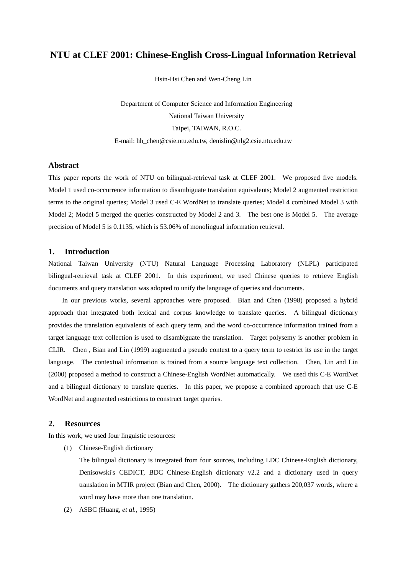# **NTU at CLEF 2001: Chinese-English Cross-Lingual Information Retrieval**

Hsin-Hsi Chen and Wen-Cheng Lin

Department of Computer Science and Information Engineering National Taiwan University Taipei, TAIWAN, R.O.C. E-mail: hh\_chen@csie.ntu.edu.tw, denislin@nlg2.csie.ntu.edu.tw

#### **Abstract**

This paper reports the work of NTU on bilingual-retrieval task at CLEF 2001. We proposed five models. Model 1 used co-occurrence information to disambiguate translation equivalents; Model 2 augmented restriction terms to the original queries; Model 3 used C-E WordNet to translate queries; Model 4 combined Model 3 with Model 2; Model 5 merged the queries constructed by Model 2 and 3. The best one is Model 5. The average precision of Model 5 is 0.1135, which is 53.06% of monolingual information retrieval.

# **1. Introduction**

National Taiwan University (NTU) Natural Language Processing Laboratory (NLPL) participated bilingual-retrieval task at CLEF 2001. In this experiment, we used Chinese queries to retrieve English documents and query translation was adopted to unify the language of queries and documents.

In our previous works, several approaches were proposed. Bian and Chen (1998) proposed a hybrid approach that integrated both lexical and corpus knowledge to translate queries. A bilingual dictionary provides the translation equivalents of each query term, and the word co-occurrence information trained from a target language text collection is used to disambiguate the translation. Target polysemy is another problem in CLIR. Chen , Bian and Lin (1999) augmented a pseudo context to a query term to restrict its use in the target language. The contextual information is trained from a source language text collection. Chen, Lin and Lin (2000) proposed a method to construct a Chinese-English WordNet automatically. We used this C-E WordNet and a bilingual dictionary to translate queries. In this paper, we propose a combined approach that use C-E WordNet and augmented restrictions to construct target queries.

# **2. Resources**

In this work, we used four linguistic resources:

(1) Chinese-English dictionary

The bilingual dictionary is integrated from four sources, including LDC Chinese-English dictionary, Denisowski's CEDICT, BDC Chinese-English dictionary v2.2 and a dictionary used in query translation in MTIR project (Bian and Chen, 2000). The dictionary gathers 200,037 words, where a word may have more than one translation.

(2) ASBC (Huang, *et al.*, 1995)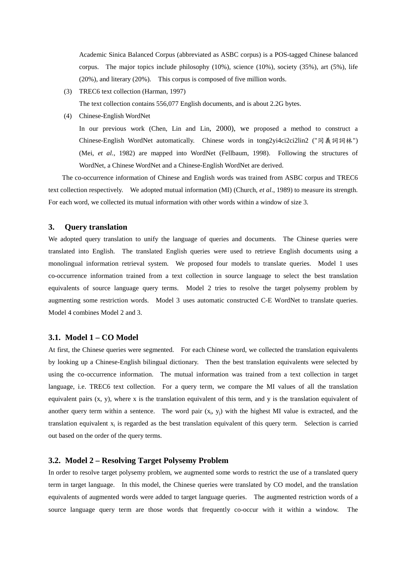Academic Sinica Balanced Corpus (abbreviated as ASBC corpus) is a POS-tagged Chinese balanced corpus. The major topics include philosophy (10%), science (10%), society (35%), art (5%), life (20%), and literary (20%). This corpus is composed of five million words.

(3) TREC6 text collection (Harman, 1997)

The text collection contains 556,077 English documents, and is about 2.2G bytes.

(4) Chinese-English WordNet

In our previous work (Chen, Lin and Lin, 2000), we proposed a method to construct a Chinese-English WordNet automatically. Chinese words in tong2yi4ci2ci2lin2 ("同義詞詞林") (Mei, *et al.*, 1982) are mapped into WordNet (Fellbaum, 1998). Following the structures of WordNet, a Chinese WordNet and a Chinese-English WordNet are derived.

The co-occurrence information of Chinese and English words was trained from ASBC corpus and TREC6 text collection respectively. We adopted mutual information (MI) (Church, *et al*., 1989) to measure its strength. For each word, we collected its mutual information with other words within a window of size 3.

### **3. Query translation**

We adopted query translation to unify the language of queries and documents. The Chinese queries were translated into English. The translated English queries were used to retrieve English documents using a monolingual information retrieval system. We proposed four models to translate queries.Model 1 uses co-occurrence information trained from a text collection in source language to select the best translation equivalents of source language query terms. Model 2 tries to resolve the target polysemy problem by augmenting some restriction words. Model 3 uses automatic constructed C-E WordNet to translate queries. Model 4 combines Model 2 and 3.

#### **3.1. Model 1 – CO Model**

At first, the Chinese queries were segmented. For each Chinese word, we collected the translation equivalents by looking up a Chinese-English bilingual dictionary. Then the best translation equivalents were selected by using the co-occurrence information. The mutual information was trained from a text collection in target language, i.e. TREC6 text collection. For a query term, we compare the MI values of all the translation equivalent pairs (x, y), where x is the translation equivalent of this term, and y is the translation equivalent of another query term within a sentence. The word pair  $(x_i, y_i)$  with the highest MI value is extracted, and the translation equivalent  $x_i$  is regarded as the best translation equivalent of this query term. Selection is carried out based on the order of the query terms.

# **3.2. Model 2 – Resolving Target Polysemy Problem**

In order to resolve target polysemy problem, we augmented some words to restrict the use of a translated query term in target language. In this model, the Chinese queries were translated by CO model, and the translation equivalents of augmented words were added to target language queries. The augmented restriction words of a source language query term are those words that frequently co-occur with it within a window. The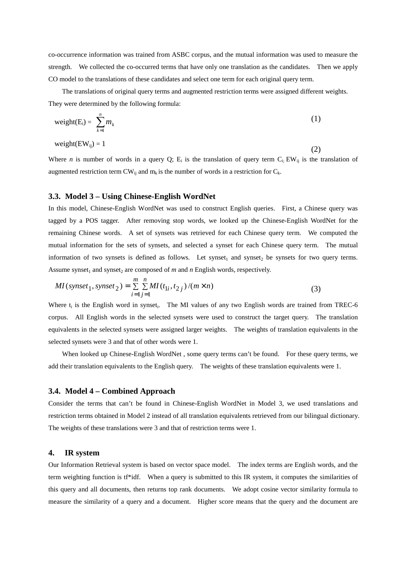co-occurrence information was trained from ASBC corpus, and the mutual information was used to measure the strength. We collected the co-occurred terms that have only one translation as the candidates. Then we apply CO model to the translations of these candidates and select one term for each original query term.

The translations of original query terms and augmented restriction terms were assigned different weights. They were determined by the following formula:

$$
weight(E_i) = \sum_{k=1}^{n} m_k
$$
 (1)

weight $(EW_{ii}) = 1$ 

Where *n* is number of words in a query Q;  $E_i$  is the translation of query term  $C_i$ ; EW<sub>ij</sub> is the translation of augmented restriction term  $CW_{ij}$  and  $m_k$  is the number of words in a restriction for  $C_k$ .

(2)

# **3.3. Model 3 – Using Chinese-English WordNet**

In this model, Chinese-English WordNet was used to construct English queries. First, a Chinese query was tagged by a POS tagger. After removing stop words, we looked up the Chinese-English WordNet for the remaining Chinese words. A set of synsets was retrieved for each Chinese query term. We computed the mutual information for the sets of synsets, and selected a synset for each Chinese query term. The mutual information of two synsets is defined as follows. Let synset<sub>1</sub> and synset<sub>2</sub> be synsets for two query terms. Assume synset<sub>1</sub> and synset<sub>2</sub> are composed of  $m$  and  $n$  English words, respectively.

$$
MI(synset_1, synset_2) = \sum_{i=1}^{m} \sum_{j=1}^{n} MI(t_{1i}, t_{2j})/(m \times n)
$$
 (3)

Where  $t_i$  is the English word in synset<sub>i</sub>. The MI values of any two English words are trained from TREC-6 corpus. All English words in the selected synsets were used to construct the target query. The translation equivalents in the selected synsets were assigned larger weights. The weights of translation equivalents in the selected synsets were 3 and that of other words were 1.

When looked up Chinese-English WordNet , some query terms can't be found. For these query terms, we add their translation equivalents to the English query. The weights of these translation equivalents were 1.

### **3.4. Model 4 – Combined Approach**

Consider the terms that can't be found in Chinese-English WordNet in Model 3, we used translations and restriction terms obtained in Model 2 instead of all translation equivalents retrieved from our bilingual dictionary. The weights of these translations were 3 and that of restriction terms were 1.

### **4. IR system**

Our Information Retrieval system is based on vector space model. The index terms are English words, and the term weighting function is tf\*idf. When a query is submitted to this IR system, it computes the similarities of this query and all documents, then returns top rank documents. We adopt cosine vector similarity formula to measure the similarity of a query and a document. Higher score means that the query and the document are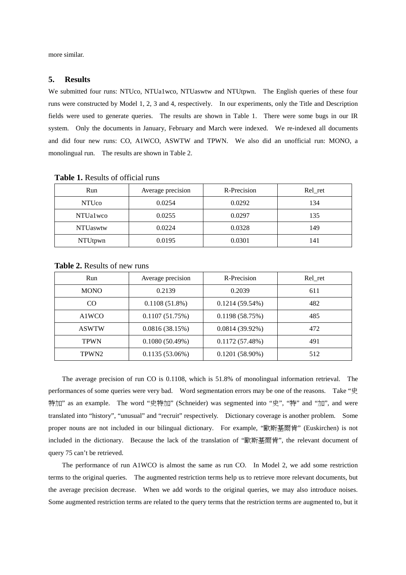more similar.

#### **5. Results**

We submitted four runs: NTUco, NTUa1wco, NTUaswtw and NTUtpwn. The English queries of these four runs were constructed by Model 1, 2, 3 and 4, respectively. In our experiments, only the Title and Description fields were used to generate queries. The results are shown in Table 1. There were some bugs in our IR system. Only the documents in January, February and March were indexed. We re-indexed all documents and did four new runs: CO, A1WCO, ASWTW and TPWN. We also did an unofficial run: MONO, a monolingual run. The results are shown in Table 2.

| Run              | Average precision | R-Precision | Rel_ret |
|------------------|-------------------|-------------|---------|
| <b>NTUco</b>     | 0.0254            | 0.0292      | 134     |
| NTUa1wco         | 0.0255            | 0.0297      | 135     |
| <b>NTU</b> aswtw | 0.0224            | 0.0328      | 149     |
| NTUtpwn          | 0.0195            | 0.0301      | 141     |

**Table 1.** Results of official runs

| Run               | Average precision | R-Precision       | Rel_ret |
|-------------------|-------------------|-------------------|---------|
| <b>MONO</b>       | 0.2139            | 0.2039            | 611     |
| CO.               | $0.1108(51.8\%)$  | $0.1214(59.54\%)$ | 482     |
| A1WCO             | 0.1107(51.75%)    | 0.1198(58.75%)    | 485     |
| <b>ASWTW</b>      | 0.0816(38.15%)    | $0.0814(39.92\%)$ | 472     |
| <b>TPWN</b>       | 0.1080(50.49%)    | 0.1172(57.48%)    | 491     |
| TPWN <sub>2</sub> | $0.1135(53.06\%)$ | $0.1201(58.90\%)$ | 512     |

**Table 2.** Results of new runs

The average precision of run CO is 0.1108, which is 51.8% of monolingual information retrieval. The performances of some queries were very bad. Word segmentation errors may be one of the reasons. Take "史 特加" as an example. The word "史特加" (Schneider) was segmented into "史", "特" and "加", and were translated into "history", "unusual" and "recruit" respectively. Dictionary coverage is another problem. Some proper nouns are not included in our bilingual dictionary. For example, "歐斯基爾肯" (Euskirchen) is not included in the dictionary. Because the lack of the translation of "歐斯基爾肯", the relevant document of query 75 can't be retrieved.

The performance of run A1WCO is almost the same as run CO. In Model 2, we add some restriction terms to the original queries. The augmented restriction terms help us to retrieve more relevant documents, but the average precision decrease. When we add words to the original queries, we may also introduce noises. Some augmented restriction terms are related to the query terms that the restriction terms are augmented to, but it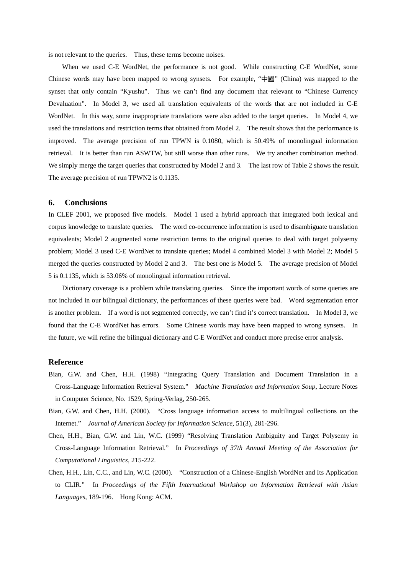is not relevant to the queries. Thus, these terms become noises.

When we used C-E WordNet, the performance is not good. While constructing C-E WordNet, some Chinese words may have been mapped to wrong synsets. For example, "中國" (China) was mapped to the synset that only contain "Kyushu". Thus we can't find any document that relevant to "Chinese Currency Devaluation". In Model 3, we used all translation equivalents of the words that are not included in C-E WordNet. In this way, some inappropriate translations were also added to the target queries. In Model 4, we used the translations and restriction terms that obtained from Model 2. The result shows that the performance is improved. The average precision of run TPWN is 0.1080, which is 50.49% of monolingual information retrieval. It is better than run ASWTW, but still worse than other runs. We try another combination method. We simply merge the target queries that constructed by Model 2 and 3. The last row of Table 2 shows the result. The average precision of run TPWN2 is 0.1135.

#### **6. Conclusions**

In CLEF 2001, we proposed five models. Model 1 used a hybrid approach that integrated both lexical and corpus knowledge to translate queries. The word co-occurrence information is used to disambiguate translation equivalents; Model 2 augmented some restriction terms to the original queries to deal with target polysemy problem; Model 3 used C-E WordNet to translate queries; Model 4 combined Model 3 with Model 2; Model 5 merged the queries constructed by Model 2 and 3. The best one is Model 5. The average precision of Model 5 is 0.1135, which is 53.06% of monolingual information retrieval.

Dictionary coverage is a problem while translating queries. Since the important words of some queries are not included in our bilingual dictionary, the performances of these queries were bad. Word segmentation error is another problem. If a word is not segmented correctly, we can't find it's correct translation. In Model 3, we found that the C-E WordNet has errors. Some Chinese words may have been mapped to wrong synsets. In the future, we will refine the bilingual dictionary and C-E WordNet and conduct more precise error analysis.

### **Reference**

- Bian, G.W. and Chen, H.H. (1998) "Integrating Query Translation and Document Translation in a Cross-Language Information Retrieval System." *Machine Translation and Information Soup*, Lecture Notes in Computer Science, No. 1529, Spring-Verlag, 250-265.
- Bian, G.W. and Chen, H.H. (2000). "Cross language information access to multilingual collections on the Internet." *Journal of American Society for Information Science*, 51(3), 281-296.
- Chen, H.H., Bian, G.W. and Lin, W.C. (1999) "Resolving Translation Ambiguity and Target Polysemy in Cross-Language Information Retrieval." In *Proceedings of 37th Annual Meeting of the Association for Computational Linguistics,* 215-222.
- Chen, H.H., Lin, C.C., and Lin, W.C. (2000). "Construction of a Chinese-English WordNet and Its Application to CLIR." In *Proceedings of the Fifth International Workshop on Information Retrieval with Asian Languages*, 189-196. Hong Kong: ACM.